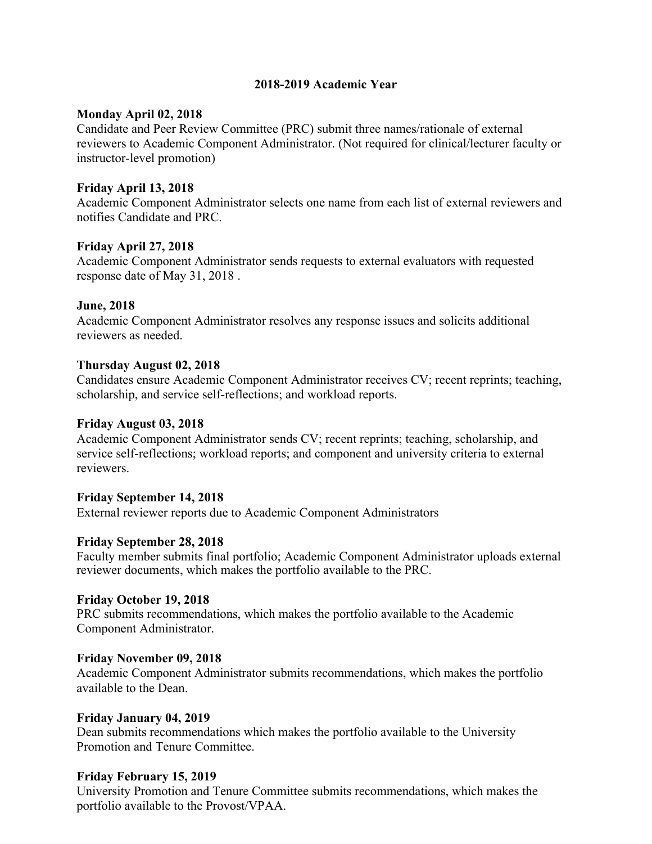# **2018-2019 Academic Year**

#### **Monday April 02, 2018**

Candidate and Peer Review Committee (PRC) submit three names/rationale of external reviewers to Academic Component Administrator. (Not required for clinical/lecturer faculty or instructor-level promotion)

#### **Friday April 13, 2018**

Academic Component Administrator selects one name from each list of external reviewers and notifies Candidate and PRC.

#### **Friday April 27, 2018**

Academic Component Administrator sends requests to external evaluators with requested response date of May 31, 2018 .

# **June, 2018**

Academic Component Administrator resolves any response issues and solicits additional reviewers as needed.

# **Thursday August 02, 2018**

Candidates ensure Academic Component Administrator receives CV; recent reprints; teaching, scholarship, and service self-reflections; and workload reports.

#### **Friday August 03, 2018**

Academic Component Administrator sends CV; recent reprints; teaching, scholarship, and service self-reflections; workload reports; and component and university criteria to external reviewers.

#### **Friday September 14, 2018**

External reviewer reports due to Academic Component Administrators

#### **Friday September 28, 2018**

Faculty member submits final portfolio; Academic Component Administrator uploads external reviewer documents, which makes the portfolio available to the PRC.

# **Friday October 19, 2018**

PRC submits recommendations, which makes the portfolio available to the Academic Component Administrator.

#### **Friday November 09, 2018**

Academic Component Administrator submits recommendations, which makes the portfolio available to the Dean.

#### **Friday January 04, 2019**

Dean submits recommendations which makes the portfolio available to the University Promotion and Tenure Committee.

#### **Friday February 15, 2019**

University Promotion and Tenure Committee submits recommendations, which makes the portfolio available to the Provost/VPAA.